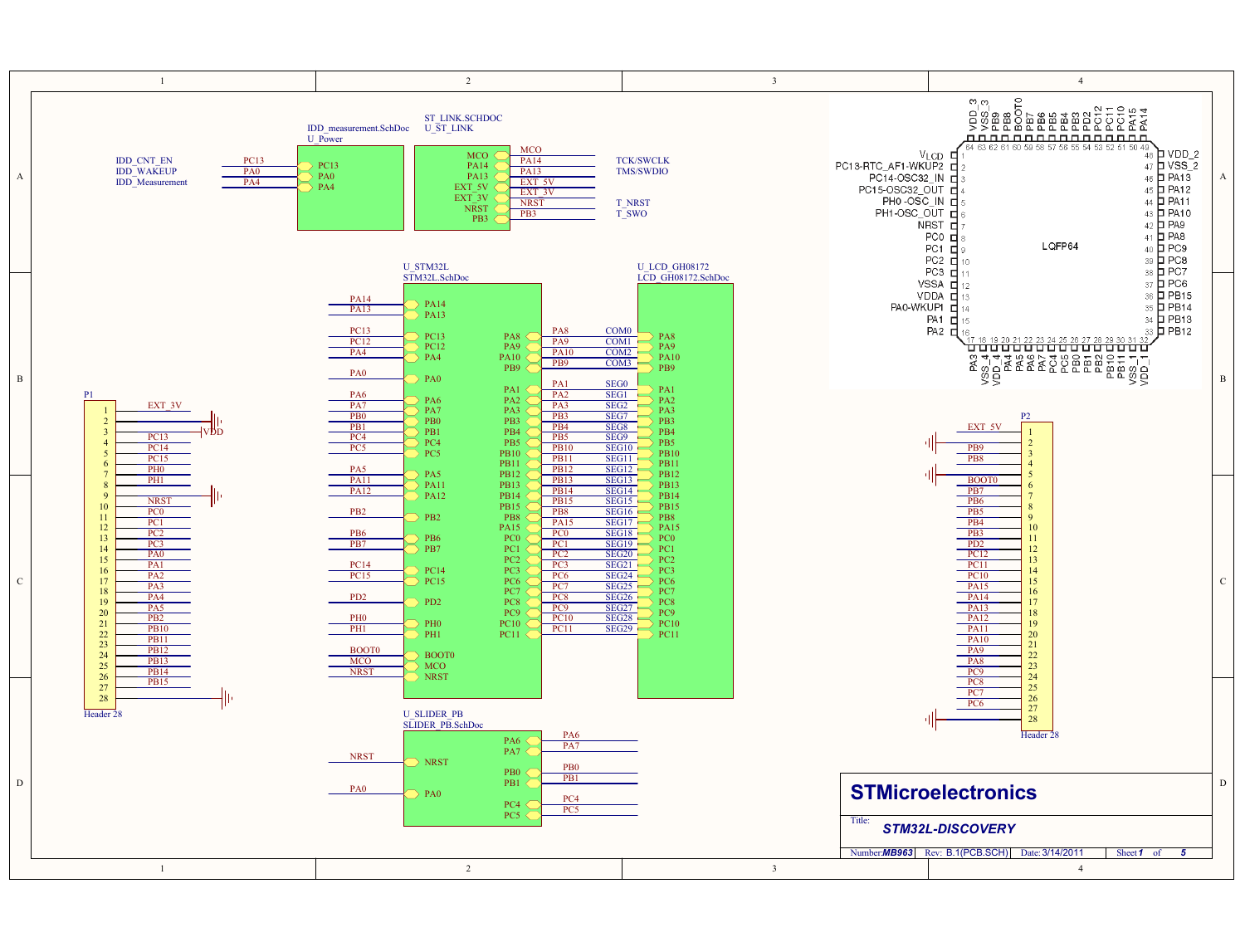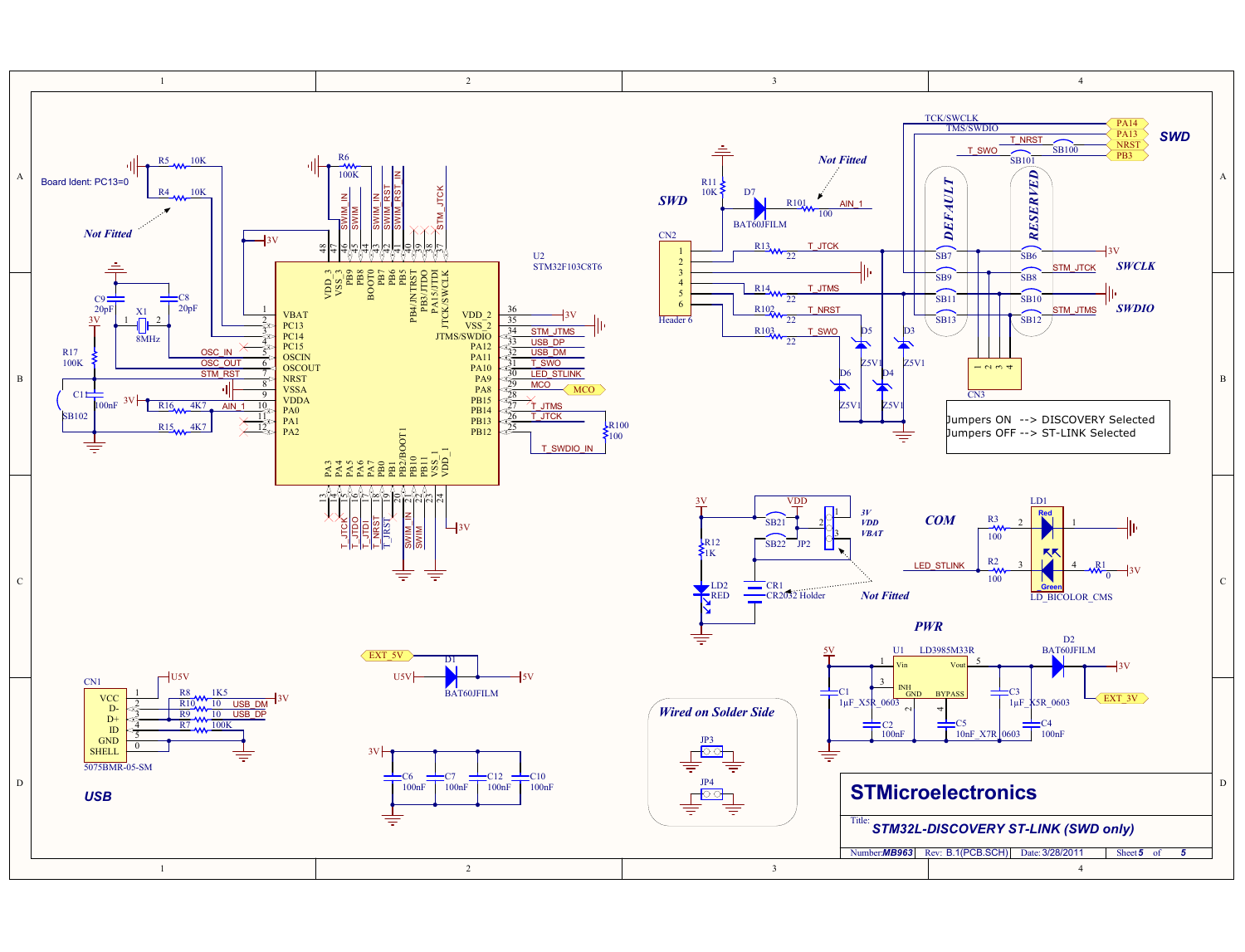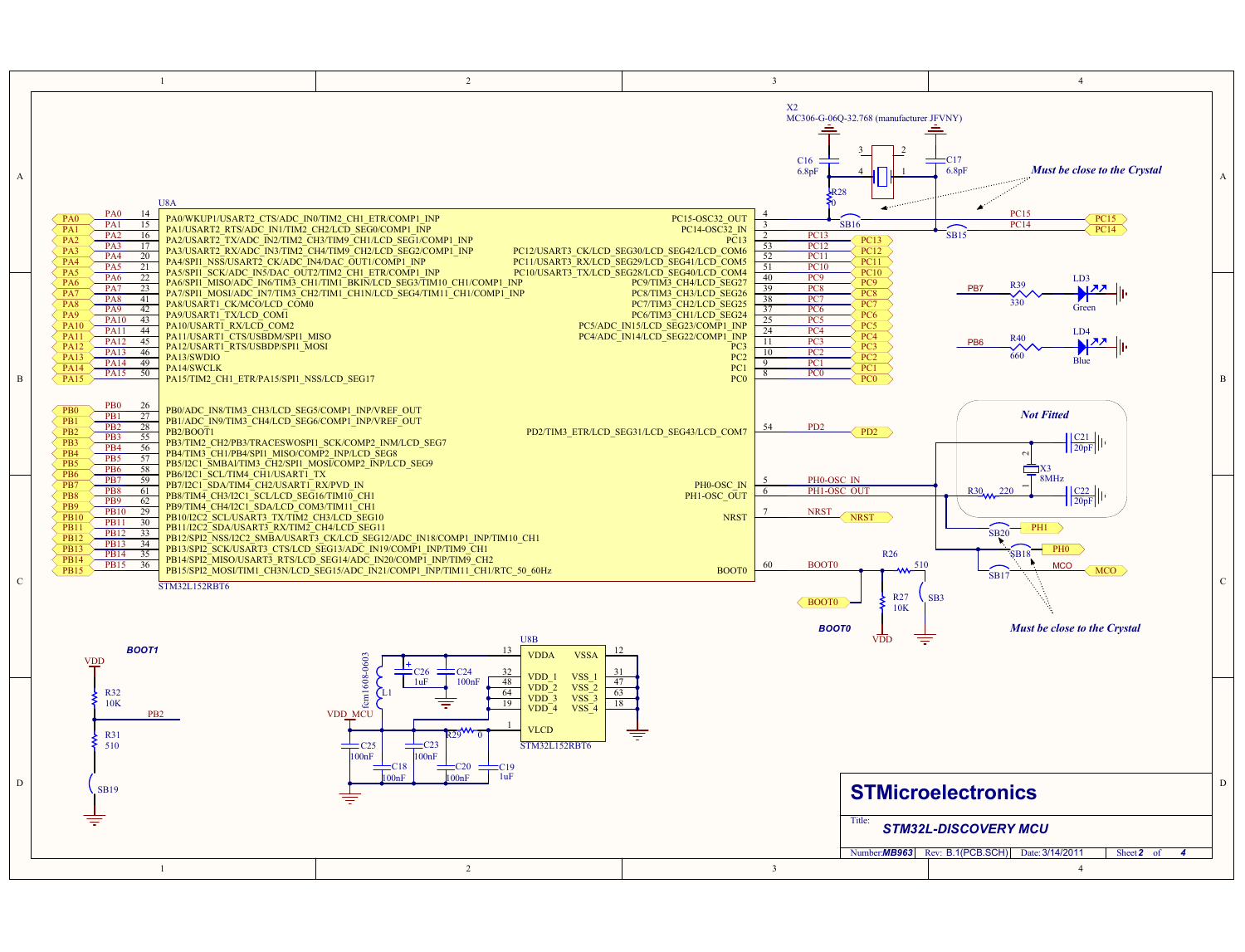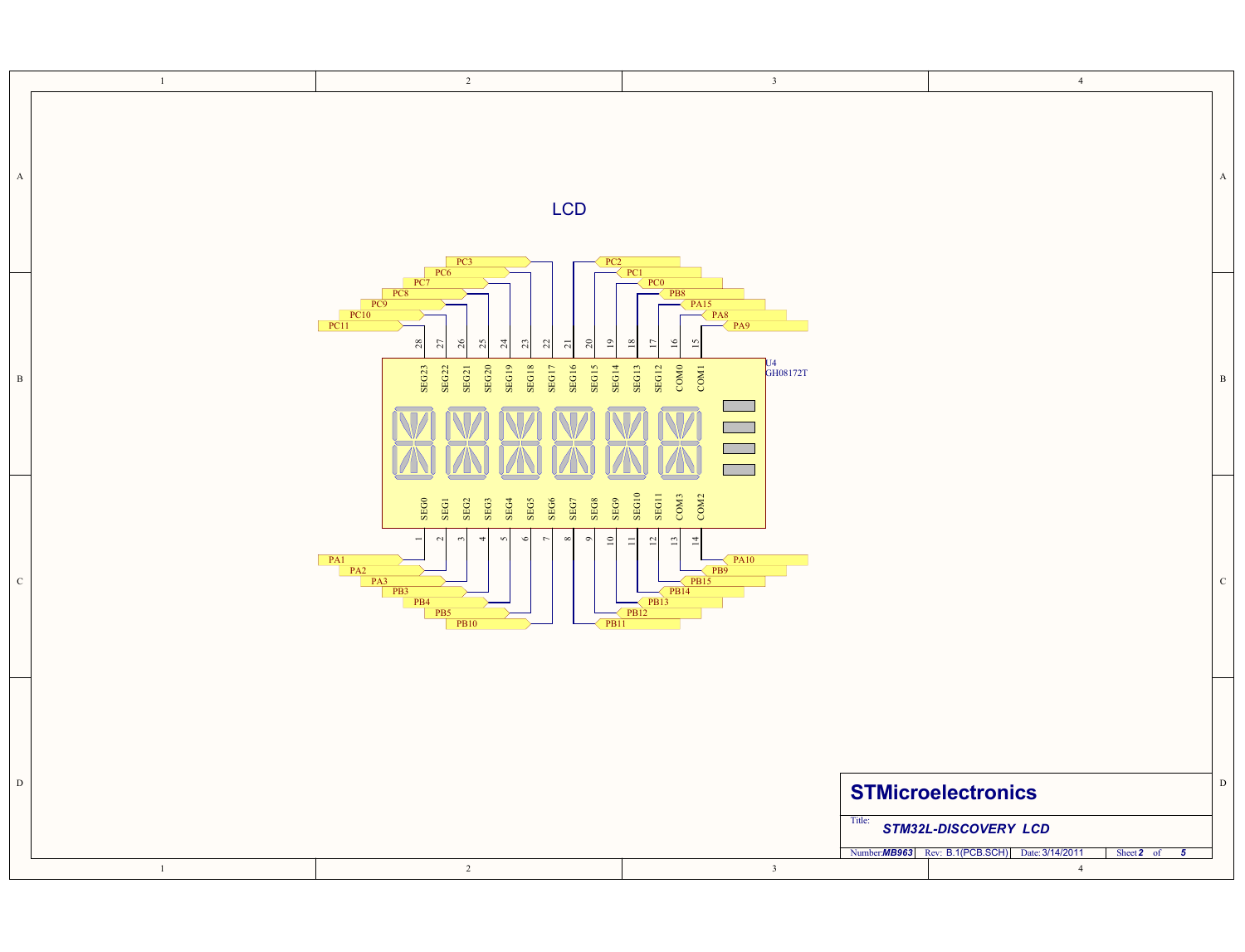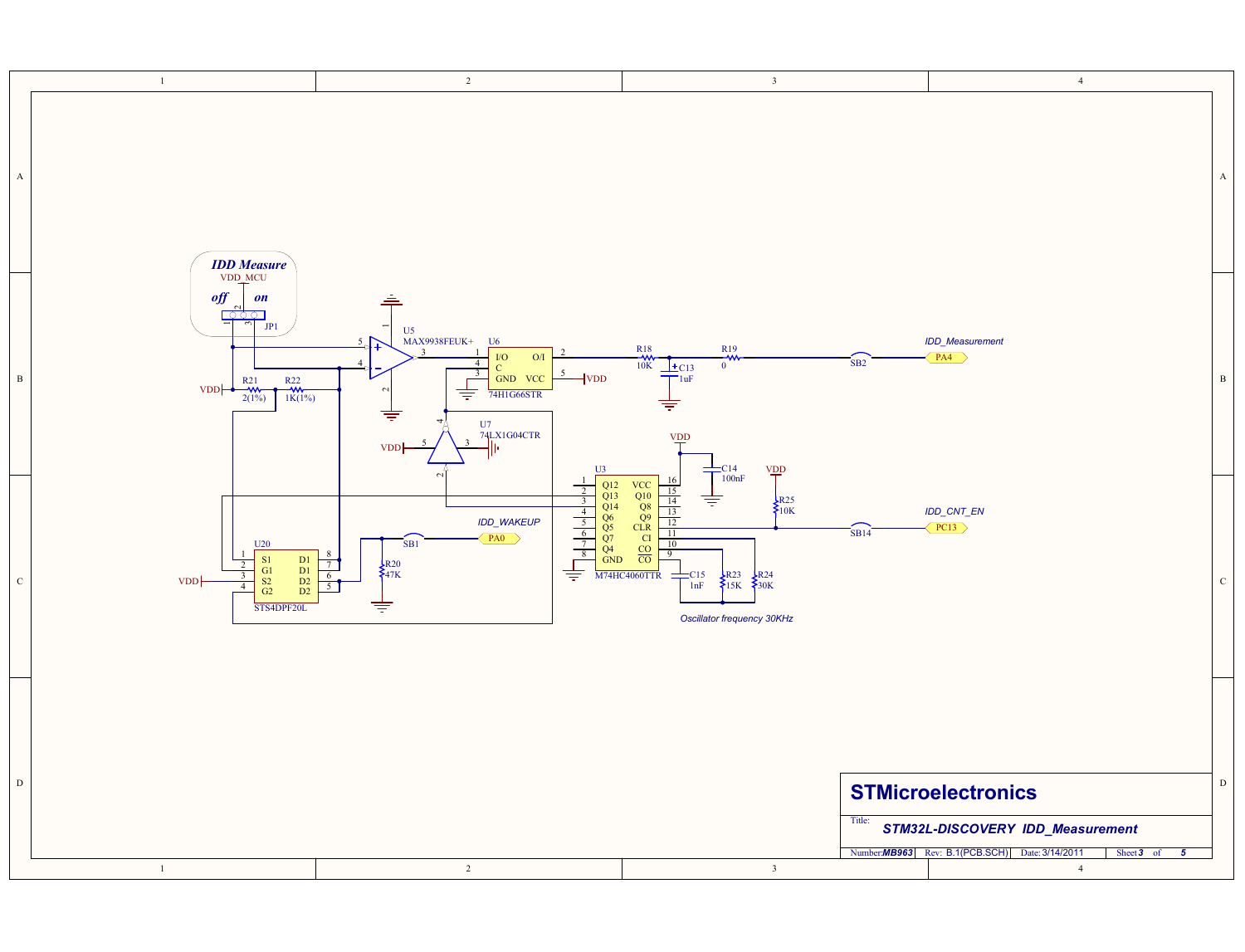